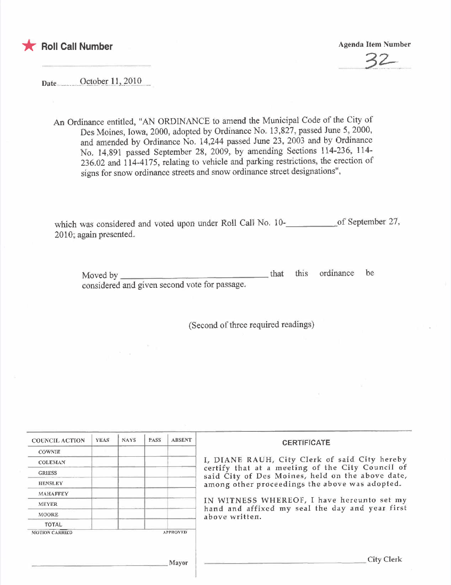

\* Roll Call Number Agenda Item Number

 $\sum$ 

Date. October 11, 2010

An Ordinance entitled, "AN ORDINANCE to amend the Municipal Code of the City of Des Moines, Iowa, 2000, adopted by Ordinance No. 13,827, passed June 5, 2000, and amended by Ordinance No. 14,244 passed June 23, 2003 and by Ordinance No. 14,891 passed September 28, 2009, by amending Sections 114-236, 114- 236.02 and 114-4175, relating to vehicle and parking restrictions, the erection of signs for snow ordinance streets and snow ordinance street designations",

which was considered and voted upon under Roll Call No. 10-<br>
<u>of September 27</u>, 2010; again presented.

Moved by that this ordinance be considered and given second vote for passage.

(Second of three required readings)

| <b>COUNCIL ACTION</b> | <b>YEAS</b> | <b>NAYS</b> | PASS | <b>ABSENT</b>   | <b>CERTIFICATE</b>                                                                                                                                                                                      |
|-----------------------|-------------|-------------|------|-----------------|---------------------------------------------------------------------------------------------------------------------------------------------------------------------------------------------------------|
| <b>COWNIE</b>         |             |             |      |                 |                                                                                                                                                                                                         |
| <b>COLEMAN</b>        |             |             |      |                 | I, DIANE RAUH, City Clerk of said City hereby<br>certify that at a meeting of the City Council of<br>said City of Des Moines, held on the above date,<br>among other proceedings the above was adopted. |
| <b>GRIESS</b>         |             |             |      |                 |                                                                                                                                                                                                         |
| <b>HENSLEY</b>        |             |             |      |                 |                                                                                                                                                                                                         |
| <b>MAHAFFEY</b>       |             |             |      |                 |                                                                                                                                                                                                         |
| <b>MEYER</b>          |             |             |      |                 | IN WITNESS WHEREOF, I have hereunto set my<br>hand and affixed my seal the day and year first<br>above written.                                                                                         |
| <b>MOORE</b>          |             |             |      |                 |                                                                                                                                                                                                         |
| TOTAL                 |             |             |      |                 |                                                                                                                                                                                                         |
| <b>MOTION CARRIED</b> |             |             |      | <b>APPROVED</b> |                                                                                                                                                                                                         |
|                       |             |             |      | Mayor           | <b>City Clerk</b>                                                                                                                                                                                       |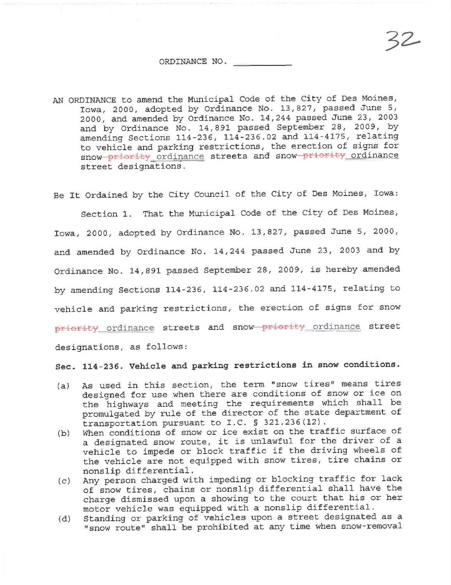## ORDINANCE NO.

AN ORDINANCE to amend the Municipal Code of the City of Des Moines, Iowa, 2000, adopted by Ordinance No. 13,827, passed June 5, 2000, and amended by Ordinance No. 14,244 passed June 23, 2003 and by Ordinance No. 14,891 passed September 28, 2009, by amending Sections 114-236, 114-236.02 and 114-4175, relating to vehicle and parking restrictions, the erection of signs for snow priority ordinance streets and snow priority ordinance street designations.

Be It Ordained by the City Council of the City of Des Moines, Iowa:

Section 1. That the Municipal Code of the City of Des Moines, Iowa, 2000, adopted by Ordinance No. 13,827, passed June 5, 2000, and amended by Ordinance No. 14,244 passed June 23, 2003 and by Ordinance No. 14,891 passed September 28, 2009, is hereby amended by amending Sections 114-236, 114-236.02 and 114-4175, relating to vehicle and parking restrictions, the erection of signs for snow priority ordinance streets and snow priority ordinance street designations, as follows:

Sec. 114-236. Vehicle and parking restrictions in snow conditions.

- (a) As used in this section, the term "snow tires" means tires designed for use when there are conditions of snow or ice on the highways and meeting the requirements which shall be promulgated by rule of the director of the state department of transportation pursuant to I.C. § 321.236(12).
- (b) When conditions of snow or ice exist on the traffic surface of a designated snow route, it is unlawful for the driver of a vehicle to impede or block traffic if the driving wheels of the vehicle are not equipped with snow tires, tire chains or nonslip differential.
- (c) Any person charged with impeding or blocking traffic for lack of snow tires, chains or nonslip differential shall have the charge dismissed upon a showing to the court that his or her motor vehicle was equipped with a nonslip differential.
- (d) Standing or parking of vehicles upon a street designated as a "snow route" shall be prohibited at any time when snow-removal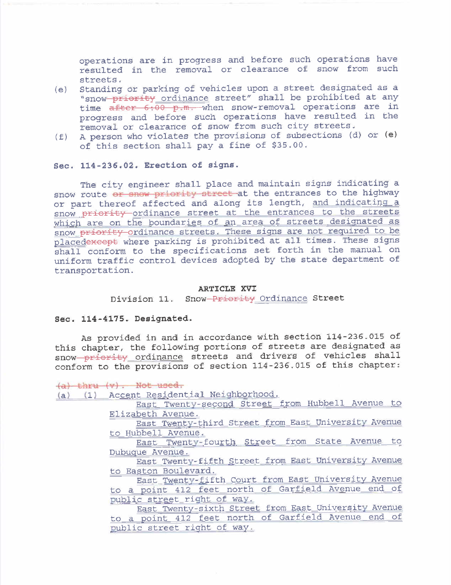operations are in progress and before such operations have resulted in the removal or clearance of snow from such streets.

- (e) Standing or parking of vehicles upon a street designated as a "snow priority ordinance street" shall be prohibited at any time  $a$ fter 6.00 p.m. when snow-removal operations are in progress and before such operations have resulted in the removal or clearance of snow from such city streets.
- (f) A person who violates the provisions of subsections (d) or (e) of this section shall pay a fine of \$35.00.

## Sec. 114-236.02. Erection of signs.

The city engineer shall place and maintain signs indicating a snow route or snow priority street at the entrances to the highway or part thereof affected and along its length, and indicating a snow priority ordinance street at the entrances to the streets which are on the boundaries of an area of streets designated as snow priority ordinance streets. These siqns are not required to be placedexcept where parking is prohibited at all times. These signs shall conform to the specifications set forth in the manual on uniform traffic control devices adopted by the state department of transportation.

## ARTICLE XVI

Division 11. Snow Priority Ordinance Street

## Sec. 114-4175. Designated.

As provided in and in accordance with section 114-236.015 of this chapter, the following portions of streets are designated as snow priority ordinance streets and drivers of vehicles shall conform to the provisions of section 114-236.015 of this chapter:

(ùl thru (v). Not uocd.

(a) (1) Ac<u>cent Resi</u>dentia<u>l</u> Neighb<u>orhood</u>.

East Twenty-second Street from Hubbell Avenue to Elizabeth Avenue.

East Twenty-third Street from East University Avenue to Hubbell Avenue.

East Twenty-fourth Street from State Avenue to Dubuque Avenue.

East Twenty-fifth Street from East University Avenue to Easton Boulevard.

East Twenty-fifth Court from East University Avenue to a point 412 feet north of Garfield Avenue end of public street riqht of way.

East Twenty-sixth Street from East University Avenue to a point 412 feet north of Garfield Avenue end of gublic street riqht of way.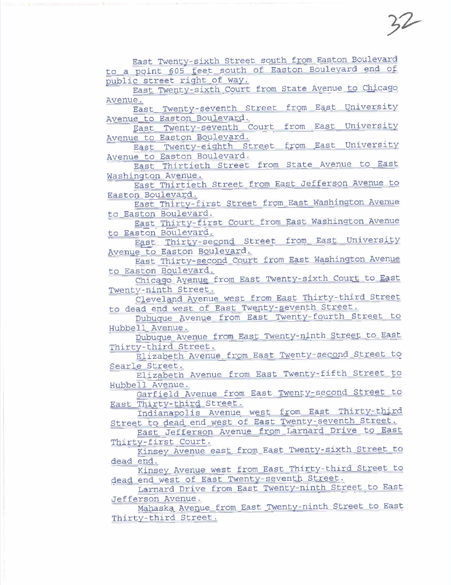$52$ 

East Twenty-sixth Street south from Easton Boulevard to a point 605 feet south of Easton Boulevard end of public street right of way.

East Twenty-sixth Court from State Avenue to Chicaao Avenue.

East Twenty-seventh Street from East University<br>Avenue to Easton Boulevard.

East Twenty-seventh Court from East University<br>Avenue to Easton Boulevard.

East Twenty-eighth Street from East University Avenue to Easton Boulevard.

East Thirtieth Street from State Avenue to East Washington Avenue.

East Thirtieth Street from East Jefferson Avenue to Easton Boulevard.

East Thirty-first Street from East Washington Avenue to Easton Boulevard.

East Thirty-first Court from East Washington Avenue

to Easton Boulevard.<br>East Thirty-second Street from East University Avenue to Easton Boulevard.

East Thirty-second Court from East Washington Avenue to Easton Boulevard.

Chicaqo Avenue from East Twenty-sixth Court to East Twenty-ninth Street.

Cleveland Avenue west from East Thirty-third Street to dead end west of East Twenty-seventh Street.

Dubuque Avenue from East Twenty-fourth Street to Hubbell Avenue.

Dubuque Avenue from East Twenty-ninth Street to East Thirty-third Street.

Elizabeth Avenue from East Twenty-second Street to Searle Street.

Elizabeth Avenue from East Twenty- fifth Street to Hubbell Avenue.

Garfield Avenue from East Twenty-second Street to

Indianapolis Avenue west from East Thirty-third Street to dead end west of East Twenty- seventh Street.

East Jefferson Avenue from Larnard Drive to East Thirty-first Court.

Kinsey Avenue east from East Twenty-sixth Street to dead end.

Kinsey Avenue west from East Thirty-third Street to dead end west of East Twenty- seventh Street.

Larnard Drive from East Twenty-ninth Street to East Jefferson Avenue.

Mahaska Avenue from East Twenty-ninth Street to East Thirty-third Street.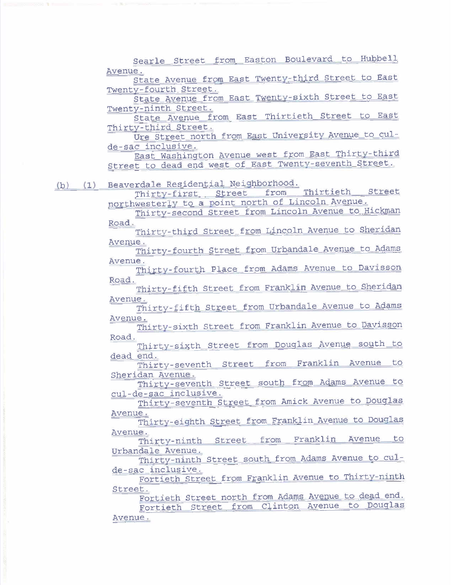Searle Street from Easton Boulevard to Hubbell Avenue.

State Avenue from East Twenty-third Street to East Twenty-fourth Street.

State Avenue from East Twenty-sixth Street to East Twenty-ninth Street.

State Avenue from East Thirtieth Street to East Thirty-third Street.

Ure Street north from East University Avenue to culde-sac inclusive.

East Washinqton Avenue west from East Thirty-third Street to dead end west of East Twenty- seventh Street.

(b) (1) Beaverdale Residential Neighborhood.

Thirty-first Street from Thirtieth Street northwesterly to a point north of Lincoln Avenue.

Thirty-second Street from Lincoln Avenue to Hickman Road.

Thirty-third Street from Lincoln Avenue to Sheridan Avenue.

Thirty- fourth Street from Urbandale Avenue to Adams Avenue.

Thirty- fourth Place from Adams Avenue to Davisson Road.

Thirty-fifth Street from Franklin Avenue to Sheridan Avenue.

Thirty-fifth Street from Urbandale Avenue to Adams Avenue.

Thirty-sixth Street from Franklin Avenue to Davisson Road.

Thirty-sixth Street from Douqlas Avenue south to

dead end.<br>Thirty-seventh Street from Franklin Avenue to Sheridan Avenue.

Thirty-seventh Street south from Adams Avenue to cul-de-sac inclusive.

Thirty-seventh Street from Amick Avenue to Douqlas Avenue.

Thirty-eiqhth Street from Franklin Avenue to Douqlas Avenue.

Thirty-ninth Street from Franklin Avenue to Urbandale Avenue.

Thirty-ninth Street south from Adams Avenue to culde-sac inclusive.

Fortieth Street from Franklin Avenue to Thirty-ninth Street.

Fortieth Street north from Adams Avenue to dead end. Fortieth Street from Clinton Avenue to Douqlas Avenue.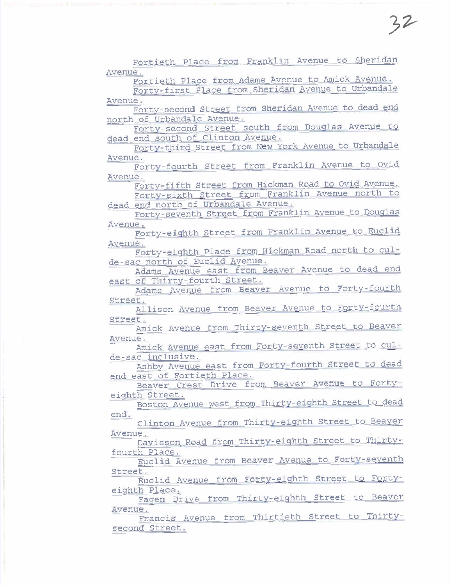Fortieth Place from Franklin Avenue to Sheridan Avenue.

Fortieth Place from Adams Avenue to Amick Avenue.

 $32$ 

Forty-first Place from Sheridan Avenue to Urbandale Avenue.

Forty-second Street from Sheridan Avenue to dead end north of Urbandale Avenue.

Forty-second Street south from Douqlas Avenue to dead end south of Clinton Avenue.

Forty-third Street from New York Avenue to Urbandale Avenue.

Forty-fourth Street from Franklin Avenue to Ovid Avenue.

Forty-fifth Street from Hickman Road to OVid Avenue. Forty-sixth Street from Franklin Avenue north to dead end north of Urbandale Avenue.

Forty-seventh Street from Franklin Avenue to Douqlas Avenue.

Forty-eiqhth Street from Franklin Avenue to Euclid Avenue.

Forty-eiqhth Place from Hickman Road north to culde-sac north of Euclid Avenue.

Adams Avenue east from Beaver Avenue to dead end east of Thirty-fourth Street.

Adams Avenue from Beaver Avenue to Forty-fourth Street.

Allison Avenue from Beaver Avenue to Forty-fourth Street.

Amick Avenue from Thirty- seventh Street to Beaver Avenue.

Amick Avenue east from Forty-seventh Street to culde-sac inclusive.

Ashby Avenue east from Forty-fourth Street to dead end east of Fortieth Place.

Beaver Crest Drive from Beaver Avenue to Fortyeiqhth Street.

Boston Avenue west from Thirty-eiqhth Street to dead end.

Clinton Avenue from Thirty-eiqhth Street to Beaver Avenue.

Davisson Road from Thirty-eiqhth Street to Thirtyfourth Place.

Euclid Avenue from Beaver Avenue to Forty-seventh Street.

Euclid Avenue from Forty-eiqhth Street to Fortyeiqhth Place.

Fagen Drive from Thirty-eighth Street to Beaver

Francis Avenue from Thirtieth Street to Thirtysecond Street.